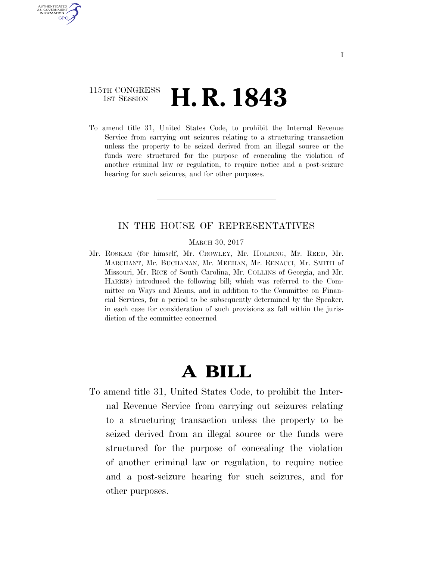## 115TH CONGRESS <sup>TH CONGRESS</sup> **H. R. 1843**

AUTHENTICATED U.S. GOVERNMENT **GPO** 

> To amend title 31, United States Code, to prohibit the Internal Revenue Service from carrying out seizures relating to a structuring transaction unless the property to be seized derived from an illegal source or the funds were structured for the purpose of concealing the violation of another criminal law or regulation, to require notice and a post-seizure hearing for such seizures, and for other purposes.

## IN THE HOUSE OF REPRESENTATIVES

MARCH 30, 2017

Mr. ROSKAM (for himself, Mr. CROWLEY, Mr. HOLDING, Mr. REED, Mr. MARCHANT, Mr. BUCHANAN, Mr. MEEHAN, Mr. RENACCI, Mr. SMITH of Missouri, Mr. RICE of South Carolina, Mr. COLLINS of Georgia, and Mr. HARRIS) introduced the following bill; which was referred to the Committee on Ways and Means, and in addition to the Committee on Financial Services, for a period to be subsequently determined by the Speaker, in each case for consideration of such provisions as fall within the jurisdiction of the committee concerned

## **A BILL**

To amend title 31, United States Code, to prohibit the Internal Revenue Service from carrying out seizures relating to a structuring transaction unless the property to be seized derived from an illegal source or the funds were structured for the purpose of concealing the violation of another criminal law or regulation, to require notice and a post-seizure hearing for such seizures, and for other purposes.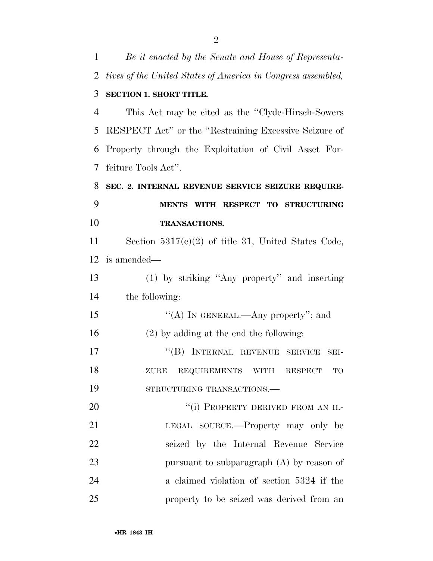| 1  | Be it enacted by the Senate and House of Representa-         |
|----|--------------------------------------------------------------|
| 2  | tives of the United States of America in Congress assembled, |
| 3  | <b>SECTION 1. SHORT TITLE.</b>                               |
| 4  | This Act may be cited as the "Clyde-Hirsch-Sowers"           |
| 5  | RESPECT Act" or the "Restraining Excessive Seizure of        |
| 6  | Property through the Exploitation of Civil Asset For-        |
| 7  | feiture Tools Act".                                          |
| 8  | SEC. 2. INTERNAL REVENUE SERVICE SEIZURE REQUIRE-            |
| 9  | WITH RESPECT TO STRUCTURING<br><b>MENTS</b>                  |
| 10 | <b>TRANSACTIONS.</b>                                         |
| 11 | Section $5317(c)(2)$ of title 31, United States Code,        |
| 12 | is amended—                                                  |
| 13 | $(1)$ by striking "Any property" and inserting               |
| 14 | the following:                                               |
| 15 | "(A) IN GENERAL.—Any property"; and                          |
| 16 | $(2)$ by adding at the end the following:                    |
| 17 | "(B) INTERNAL REVENUE SERVICE<br>SEI-                        |
| 18 | ZURE REQUIREMENTS WITH RESPECT TO                            |
| 19 | STRUCTURING TRANSACTIONS.                                    |
| 20 | "(i) PROPERTY DERIVED FROM AN IL-                            |
| 21 | LEGAL SOURCE.—Property may only be                           |
| 22 | seized by the Internal Revenue Service                       |
| 23 | pursuant to subparagraph $(A)$ by reason of                  |
| 24 | a claimed violation of section 5324 if the                   |
| 25 | property to be seized was derived from an                    |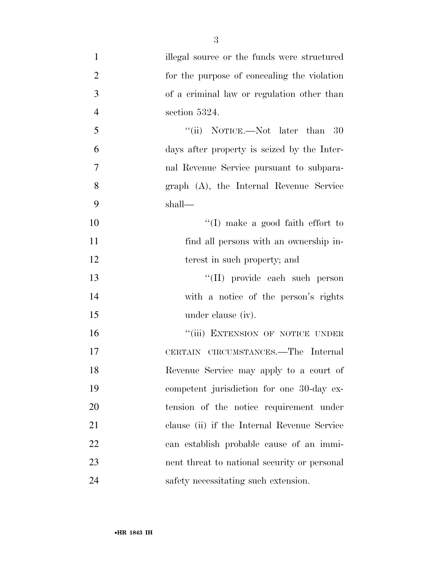| $\mathbf{1}$   | illegal source or the funds were structured  |
|----------------|----------------------------------------------|
| $\overline{2}$ | for the purpose of concealing the violation  |
| 3              | of a criminal law or regulation other than   |
| $\overline{4}$ | section 5324.                                |
| 5              | "(ii) NOTICE.—Not later than 30              |
| 6              | days after property is seized by the Inter-  |
| $\overline{7}$ | nal Revenue Service pursuant to subpara-     |
| 8              | graph (A), the Internal Revenue Service      |
| 9              | shall—                                       |
| 10             | $\lq\lq$ (I) make a good faith effort to     |
| 11             | find all persons with an ownership in-       |
| 12             | terest in such property; and                 |
| 13             | "(II) provide each such person               |
| 14             | with a notice of the person's rights         |
| 15             | under clause (iv).                           |
| 16             | "(iii) EXTENSION OF NOTICE UNDER             |
| 17             | CERTAIN CIRCUMSTANCES.—The Internal          |
| 18             | Revenue Service may apply to a court of      |
| 19             | competent jurisdiction for one 30-day ex-    |
| 20             | tension of the notice requirement under      |
| 21             | clause (ii) if the Internal Revenue Service  |
| 22             | can establish probable cause of an immi-     |
| 23             | nent threat to national security or personal |
| 24             | safety necessitating such extension.         |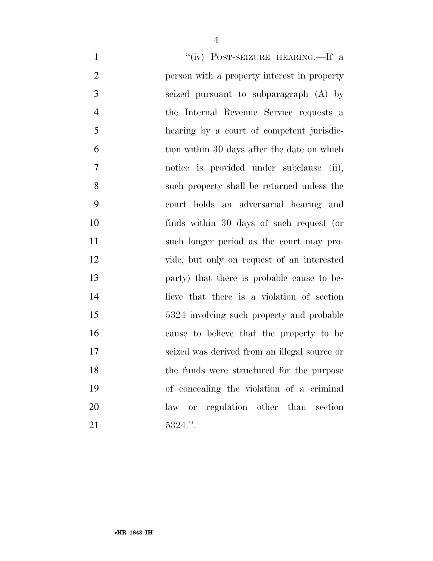| $\mathbf{1}$   | "(iv) POST-SEIZURE HEARING.—If a             |
|----------------|----------------------------------------------|
| $\overline{2}$ | person with a property interest in property  |
| 3              | seized pursuant to subparagraph (A) by       |
| $\overline{4}$ | the Internal Revenue Service requests a      |
| 5              | hearing by a court of competent jurisdic-    |
| 6              | tion within 30 days after the date on which  |
| 7              | notice is provided under subclause (ii),     |
| 8              | such property shall be returned unless the   |
| 9              | court holds an adversarial hearing and       |
| 10             | finds within 30 days of such request (or     |
| 11             | such longer period as the court may pro-     |
| 12             | vide, but only on request of an interested   |
| 13             | party) that there is probable cause to be-   |
| 14             | lieve that there is a violation of section   |
| 15             | 5324 involving such property and probable    |
| 16             | cause to believe that the property to be     |
| 17             | seized was derived from an illegal source or |
| 18             | the funds were structured for the purpose    |
| 19             | of concealing the violation of a criminal    |
| 20             | law or regulation other than section         |
| 21             | 5324."                                       |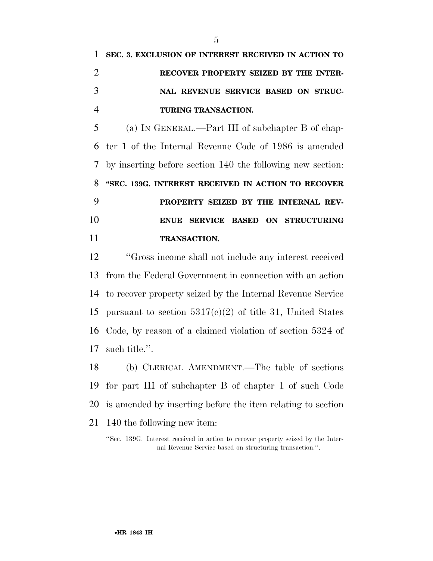(a) IN GENERAL.—Part III of subchapter B of chap- ter 1 of the Internal Revenue Code of 1986 is amended by inserting before section 140 the following new section: **''SEC. 139G. INTEREST RECEIVED IN ACTION TO RECOVER PROPERTY SEIZED BY THE INTERNAL REV- ENUE SERVICE BASED ON STRUCTURING TRANSACTION.** 

 ''Gross income shall not include any interest received from the Federal Government in connection with an action to recover property seized by the Internal Revenue Service 15 pursuant to section  $5317(c)(2)$  of title 31, United States Code, by reason of a claimed violation of section 5324 of such title.''.

 (b) CLERICAL AMENDMENT.—The table of sections for part III of subchapter B of chapter 1 of such Code is amended by inserting before the item relating to section 140 the following new item:

''Sec. 139G. Interest received in action to recover property seized by the Internal Revenue Service based on structuring transaction.''.